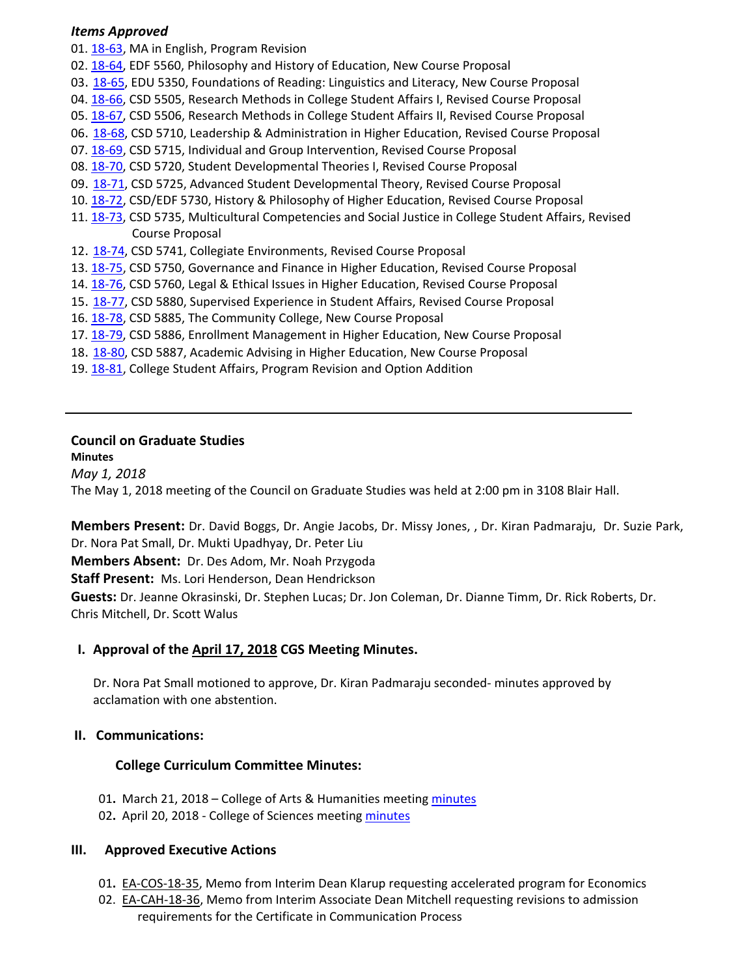### *Items Approved*

01. 18-[63,](http://castle.eiu.edu/eiucgs/currentagendaitems/agenda18-63.pdf) MA in English, Program Revision 02. 18-[64,](http://castle.eiu.edu/eiucgs/currentagendaitems/agenda18-64.pdf) EDF 5560, Philosophy and History of Education, New Course Proposal 03. 18‐[65,](http://castle.eiu.edu/eiucgs/currentagendaitems/agenda18-65.pdf) EDU 5350, Foundations of Reading: Linguistics and Literacy, New Course Proposal 04. 18‐[66,](http://castle.eiu.edu/eiucgs/currentagendaitems/agenda18-66.pdf) CSD 5505, Research Methods in College Student Affairs I, Revised Course Proposal 05. 18‐[67,](http://castle.eiu.edu/eiucgs/currentagendaitems/agenda18-67.pdf) CSD 5506, Research Methods in College Student Affairs II, Revised Course Proposal 06. 18‐[68,](http://castle.eiu.edu/eiucgs/currentagendaitems/agenda18-68.pdf) CSD 5710, Leadership & Administration in Higher Education, Revised Course Proposal 07. 18-[69,](http://castle.eiu.edu/eiucgs/currentagendaitems/agenda18-69.pdf) CSD 5715, Individual and Group Intervention, Revised Course Proposal 08. 18-[70,](http://castle.eiu.edu/eiucgs/currentagendaitems/agenda18-70.pdf) CSD 5720, Student Developmental Theories I, Revised Course Proposal 09. 18‐[71,](http://castle.eiu.edu/eiucgs/currentagendaitems/agenda18-71.pdf) CSD 5725, Advanced Student Developmental Theory, Revised Course Proposal 10. 18‐[72,](http://castle.eiu.edu/eiucgs/currentagendaitems/agenda18-72.pdf) CSD/EDF 5730, History & Philosophy of Higher Education, Revised Course Proposal 11. 18‐[73,](http://castle.eiu.edu/eiucgs/currentagendaitems/agenda18-73.pdf) CSD 5735, Multicultural Competencies and Social Justice in College Student Affairs, Revised Course Proposal 12. 18-[74,](http://castle.eiu.edu/eiucgs/currentagendaitems/agenda18-74.pdf) CSD 5741, Collegiate Environments, Revised Course Proposal 13. 18-[75,](http://castle.eiu.edu/eiucgs/currentagendaitems/agenda18-75.pdf) CSD 5750, Governance and Finance in Higher Education, Revised Course Proposal 14. 18‐[76,](http://castle.eiu.edu/eiucgs/currentagendaitems/agenda18-76.pdf) CSD 5760, Legal & Ethical Issues in Higher Education, Revised Course Proposal 15. 18‐[77,](http://castle.eiu.edu/eiucgs/currentagendaitems/agenda18-77.pdf) CSD 5880, Supervised Experience in Student Affairs, Revised Course Proposal 16. 18-[78,](http://castle.eiu.edu/eiucgs/currentagendaitems/agenda18-78.pdf) CSD 5885, The Community College, New Course Proposal 17. 18-[79,](http://castle.eiu.edu/eiucgs/currentagendaitems/agenda18-79.pdf) CSD 5886, Enrollment Management in Higher Education, New Course Proposal 18. 18-[80,](http://castle.eiu.edu/eiucgs/currentagendaitems/agenda18-80.pdf) CSD 5887, Academic Advising in Higher Education, New Course Proposal 19. 18-[81,](http://castle.eiu.edu/eiucgs/currentagendaitems/agenda18-81.pdf) College Student Affairs, Program Revision and Option Addition

#### **Council on Graduate Studies**

**Minutes**

*May 1, 2018* The May 1, 2018 meeting of the Council on Graduate Studies was held at 2:00 pm in 3108 Blair Hall.

**Members Present:** Dr. David Boggs, Dr. Angie Jacobs, Dr. Missy Jones, , Dr. Kiran Padmaraju, Dr. Suzie Park, Dr. Nora Pat Small, Dr. Mukti Upadhyay, Dr. Peter Liu

**Members Absent:** Dr. Des Adom, Mr. Noah Przygoda

**Staff Present:** Ms. Lori Henderson, Dean Hendrickson

**Guests:** Dr. Jeanne Okrasinski, Dr. Stephen Lucas; Dr. Jon Coleman, Dr. Dianne Timm, Dr. Rick Roberts, Dr. Chris Mitchell, Dr. Scott Walus

# **I. Approval of the April 17, [2018](http://castle.eiu.edu/eiucgs/currentminutes/Minutes4-17-18.pdf) CGS Meeting Minutes.**

Dr. Nora Pat Small motioned to approve, Dr. Kiran Padmaraju seconded‐ minutes approved by acclamation with one abstention.

# **II. Communications:**

# **College Curriculum Committee Minutes:**

- 01**.** March 21, 2018 College of Arts & Humanities meeting [minutes](https://www.eiu.edu/ahcolleg/cahcc_files/2018/CAHCC_Minutes_3_21_18.pdf)
- 02**.** April 20, 2018 ‐ College of Sciences meeting [minutes](https://www.eiu.edu/colsci/coscc/minutes_17/COSCC_Minutes_4_20_18.pdf)

# **III. Approved Executive Actions**

- 01**.** EA‐[COS](http://castle.eiu.edu/~eiucgs/exec-actions/EA-COS-18-35.pdf)‐18‐35, Memo from Interim Dean Klarup requesting accelerated program for Economics
- 02. EA‐CAH‐18‐36, Memo from Interim Associate Dean Mitchell requesting revisions to admission [requirements](http://castle.eiu.edu/~eiucgs/exec-actions/EA-CAH-18-36.pdf) for the Certificate in Communication Process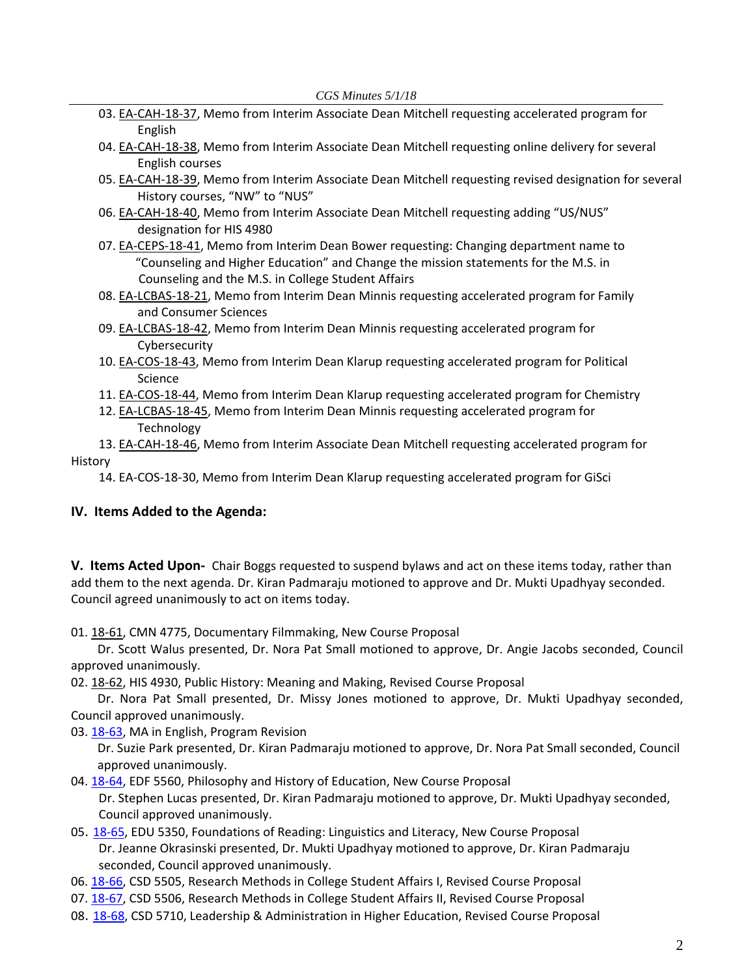- 03. EA-[CAH](http://castle.eiu.edu/~eiucgs/exec-actions/EA-CAH-18-37.pdf)-18-37, Memo from Interim Associate Dean Mitchell requesting accelerated program for English
- 04. EA‐[CAH](http://castle.eiu.edu/~eiucgs/exec-actions/EA-CAH-18-38.pdf)‐18‐38, Memo from Interim Associate Dean Mitchell requesting online delivery for several English courses
- 05. EA‐[CAH](http://castle.eiu.edu/~eiucgs/exec-actions/EA-CAH-18-39.pdf)‐18‐39, Memo from Interim Associate Dean Mitchell requesting revised designation for several History courses, "NW" to "NUS"
- 06. EA‐[CAH](http://castle.eiu.edu/~eiucgs/exec-actions/EA-CAH-18-40.pdf)‐18‐40, Memo from Interim Associate Dean Mitchell requesting adding "US/NUS" designation for HIS 4980
- 07. EA‐[CEPS](http://castle.eiu.edu/~eiucgs/exec-actions/EA-CEPS-18-41.pdf)‐18‐41, Memo from Interim Dean Bower requesting: Changing department name to "Counseling and Higher Education" and Change the mission statements for the M.S. in [Counseling](http://castle.eiu.edu/~eiucgs/exec-actions/EA-LCBAS-18-21.pdf) and the M.S. in College Student Affairs
- 08. EA‐LCBAS‐18‐21, Memo from Interim Dean Minnis requesting accelerated program for Family and Consumer Sciences
- 09. EA‐[LCBAS](http://castle.eiu.edu/~eiucgs/exec-actions/EA-LCBAS-18-42.pdf)‐18‐42, Memo from Interim Dean Minnis requesting accelerated program for Cybersecurity
- 10. EA‐[COS](http://castle.eiu.edu/~eiucgs/exec-actions/EA-COS-18-43.pdf)‐18‐43, Memo from Interim Dean Klarup requesting accelerated program for Political Science
- 11. EA‐[COS](http://castle.eiu.edu/~eiucgs/exec-actions/EA-COS-18-44.pdf)‐18‐44, Memo from Interim Dean Klarup requesting accelerated program for Chemistry
- 12. EA-[LCBAS](http://castle.eiu.edu/~eiucgs/exec-actions/EA-LCBAS-18-45.pdf)-18-45, Memo from Interim Dean Minnis requesting accelerated program for Technology
- 13. EA‐[CAH](http://castle.eiu.edu/~eiucgs/exec-actions/EA-CAH-18-46.pdf)‐18‐46, Memo from Interim Associate Dean Mitchell requesting accelerated program for History

14. EA‐[COS](http://castle.eiu.edu/~eiucgs/exec-actions/EA-COS-18-30.pdf)‐18‐30, Memo from Interim Dean Klarup requesting accelerated program for GiSci

# **IV. Items Added to the Agenda:**

**V. Items Acted Upon‐** Chair Boggs requested to suspend bylaws and act on these items today, rather than add them to the next agenda. Dr. Kiran Padmaraju motioned to approve and Dr. Mukti Upadhyay seconded. Council agreed unanimously to act on items today.

01. 18‐[61,](http://castle.eiu.edu/eiucgs/currentagendaitems/agenda18-61.pdf) CMN 4775, Documentary Filmmaking, New Course Proposal

Dr. Scott Walus presented, Dr. Nora Pat Small motioned to approve, Dr. Angie Jacobs seconded, Council approved unanimously.

02. 18‐[62,](http://castle.eiu.edu/eiucgs/currentagendaitems/agenda18-62.pdf) HIS 4930, Public History: Meaning and Making, Revised Course Proposal

Dr. Nora Pat Small presented, Dr. Missy Jones motioned to approve, Dr. Mukti Upadhyay seconded, Council approved unanimously.

03. 18-[63,](http://castle.eiu.edu/eiucgs/currentagendaitems/agenda18-63.pdf) MA in English, Program Revision

Dr. Suzie Park presented, Dr. Kiran Padmaraju motioned to approve, Dr. Nora Pat Small seconded, Council approved unanimously.

04. 18-[64,](http://castle.eiu.edu/eiucgs/currentagendaitems/agenda18-64.pdf) EDF 5560, Philosophy and History of Education, New Course Proposal

Dr. Stephen Lucas presented, Dr. Kiran Padmaraju motioned to approve, Dr. Mukti Upadhyay seconded, Council approved unanimously.

- 05. [18](http://castle.eiu.edu/eiucgs/currentagendaitems/agenda18-65.pdf)‐65, EDU 5350, Foundations of Reading: Linguistics and Literacy, New Course Proposal Dr. Jeanne Okrasinski presented, Dr. Mukti Upadhyay motioned to approve, Dr. Kiran Padmaraju seconded, Council approved unanimously.
- 06. 18‐[66,](http://castle.eiu.edu/eiucgs/currentagendaitems/agenda18-66.pdf) CSD 5505, Research Methods in College Student Affairs I, Revised Course Proposal
- 07. 18-[67,](http://castle.eiu.edu/eiucgs/currentagendaitems/agenda18-67.pdf) CSD 5506, Research Methods in College Student Affairs II, Revised Course Proposal
- 08. 18-[68,](http://castle.eiu.edu/eiucgs/currentagendaitems/agenda18-68.pdf) CSD 5710, Leadership & Administration in Higher Education, Revised Course Proposal